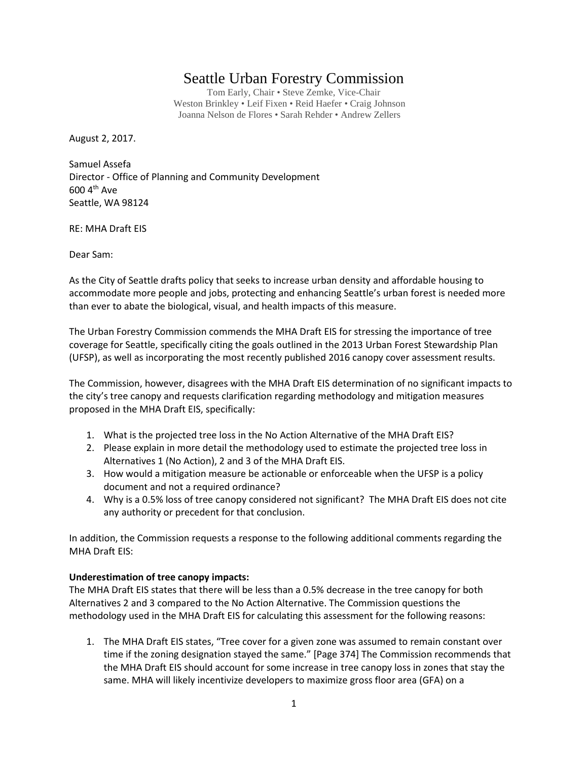## Seattle Urban Forestry Commission

Tom Early, Chair • Steve Zemke, Vice-Chair Weston Brinkley • Leif Fixen • Reid Haefer • Craig Johnson Joanna Nelson de Flores • Sarah Rehder • Andrew Zellers

August 2, 2017.

Samuel Assefa Director - Office of Planning and Community Development  $600 4$ <sup>th</sup> Ave Seattle, WA 98124

RE: MHA Draft EIS

Dear Sam:

As the City of Seattle drafts policy that seeks to increase urban density and affordable housing to accommodate more people and jobs, protecting and enhancing Seattle's urban forest is needed more than ever to abate the biological, visual, and health impacts of this measure.

The Urban Forestry Commission commends the MHA Draft EIS for stressing the importance of tree coverage for Seattle, specifically citing the goals outlined in the 2013 Urban Forest Stewardship Plan (UFSP), as well as incorporating the most recently published 2016 canopy cover assessment results.

The Commission, however, disagrees with the MHA Draft EIS determination of no significant impacts to the city's tree canopy and requests clarification regarding methodology and mitigation measures proposed in the MHA Draft EIS, specifically:

- 1. What is the projected tree loss in the No Action Alternative of the MHA Draft EIS?
- 2. Please explain in more detail the methodology used to estimate the projected tree loss in Alternatives 1 (No Action), 2 and 3 of the MHA Draft EIS.
- 3. How would a mitigation measure be actionable or enforceable when the UFSP is a policy document and not a required ordinance?
- 4. Why is a 0.5% loss of tree canopy considered not significant? The MHA Draft EIS does not cite any authority or precedent for that conclusion.

In addition, the Commission requests a response to the following additional comments regarding the MHA Draft EIS:

## **Underestimation of tree canopy impacts:**

The MHA Draft EIS states that there will be less than a 0.5% decrease in the tree canopy for both Alternatives 2 and 3 compared to the No Action Alternative. The Commission questions the methodology used in the MHA Draft EIS for calculating this assessment for the following reasons:

1. The MHA Draft EIS states, "Tree cover for a given zone was assumed to remain constant over time if the zoning designation stayed the same." [Page 374] The Commission recommends that the MHA Draft EIS should account for some increase in tree canopy loss in zones that stay the same. MHA will likely incentivize developers to maximize gross floor area (GFA) on a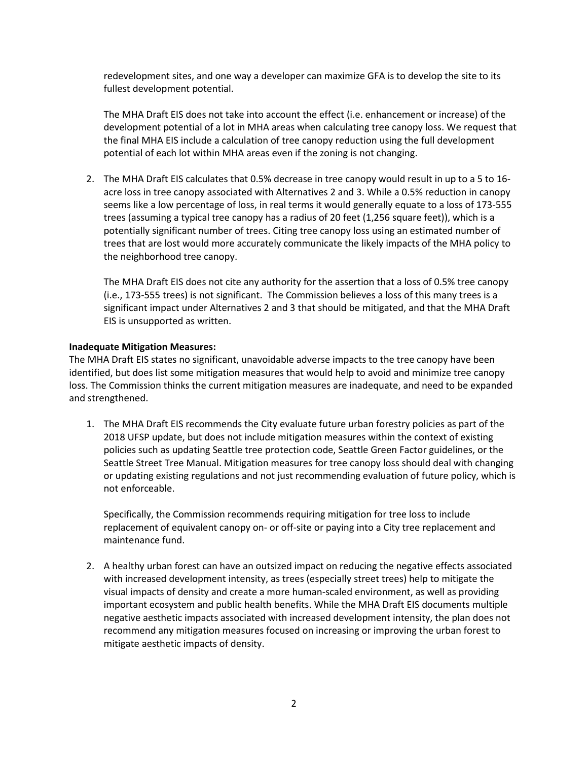redevelopment sites, and one way a developer can maximize GFA is to develop the site to its fullest development potential.

The MHA Draft EIS does not take into account the effect (i.e. enhancement or increase) of the development potential of a lot in MHA areas when calculating tree canopy loss. We request that the final MHA EIS include a calculation of tree canopy reduction using the full development potential of each lot within MHA areas even if the zoning is not changing.

2. The MHA Draft EIS calculates that 0.5% decrease in tree canopy would result in up to a 5 to 16 acre loss in tree canopy associated with Alternatives 2 and 3. While a 0.5% reduction in canopy seems like a low percentage of loss, in real terms it would generally equate to a loss of 173-555 trees (assuming a typical tree canopy has a radius of 20 feet (1,256 square feet)), which is a potentially significant number of trees. Citing tree canopy loss using an estimated number of trees that are lost would more accurately communicate the likely impacts of the MHA policy to the neighborhood tree canopy.

The MHA Draft EIS does not cite any authority for the assertion that a loss of 0.5% tree canopy (i.e., 173-555 trees) is not significant. The Commission believes a loss of this many trees is a significant impact under Alternatives 2 and 3 that should be mitigated, and that the MHA Draft EIS is unsupported as written.

## **Inadequate Mitigation Measures:**

The MHA Draft EIS states no significant, unavoidable adverse impacts to the tree canopy have been identified, but does list some mitigation measures that would help to avoid and minimize tree canopy loss. The Commission thinks the current mitigation measures are inadequate, and need to be expanded and strengthened.

1. The MHA Draft EIS recommends the City evaluate future urban forestry policies as part of the 2018 UFSP update, but does not include mitigation measures within the context of existing policies such as updating Seattle tree protection code, Seattle Green Factor guidelines, or the Seattle Street Tree Manual. Mitigation measures for tree canopy loss should deal with changing or updating existing regulations and not just recommending evaluation of future policy, which is not enforceable.

Specifically, the Commission recommends requiring mitigation for tree loss to include replacement of equivalent canopy on- or off-site or paying into a City tree replacement and maintenance fund.

2. A healthy urban forest can have an outsized impact on reducing the negative effects associated with increased development intensity, as trees (especially street trees) help to mitigate the visual impacts of density and create a more human-scaled environment, as well as providing important ecosystem and public health benefits. While the MHA Draft EIS documents multiple negative aesthetic impacts associated with increased development intensity, the plan does not recommend any mitigation measures focused on increasing or improving the urban forest to mitigate aesthetic impacts of density.